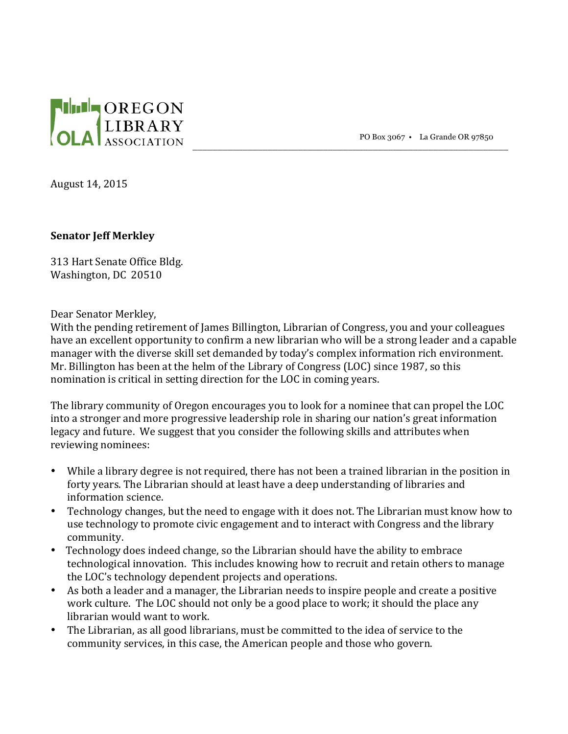

PO Box 3067 • La Grande OR 97850

\_\_\_\_\_\_\_\_\_\_\_\_\_\_\_\_\_\_\_\_\_\_\_\_\_\_\_\_\_\_\_\_\_\_\_\_\_\_\_\_\_\_\_\_\_\_\_\_\_\_\_\_\_\_\_\_\_\_\_\_\_\_\_

August 14, 2015

## **Senator** *Jeff Merkley*

313 Hart Senate Office Bldg. Washington, DC 20510

Dear Senator Merkley,

With the pending retirement of James Billington, Librarian of Congress, you and your colleagues have an excellent opportunity to confirm a new librarian who will be a strong leader and a capable manager with the diverse skill set demanded by today's complex information rich environment. Mr. Billington has been at the helm of the Library of Congress (LOC) since 1987, so this nomination is critical in setting direction for the LOC in coming vears.

The library community of Oregon encourages you to look for a nominee that can propel the LOC into a stronger and more progressive leadership role in sharing our nation's great information legacy and future. We suggest that you consider the following skills and attributes when reviewing nominees:

- While a library degree is not required, there has not been a trained librarian in the position in forty years. The Librarian should at least have a deep understanding of libraries and information science.
- Technology changes, but the need to engage with it does not. The Librarian must know how to use technology to promote civic engagement and to interact with Congress and the library community.
- Technology does indeed change, so the Librarian should have the ability to embrace technological innovation. This includes knowing how to recruit and retain others to manage the LOC's technology dependent projects and operations.
- As both a leader and a manager, the Librarian needs to inspire people and create a positive work culture. The LOC should not only be a good place to work; it should the place any librarian would want to work.
- The Librarian, as all good librarians, must be committed to the idea of service to the community services, in this case, the American people and those who govern.